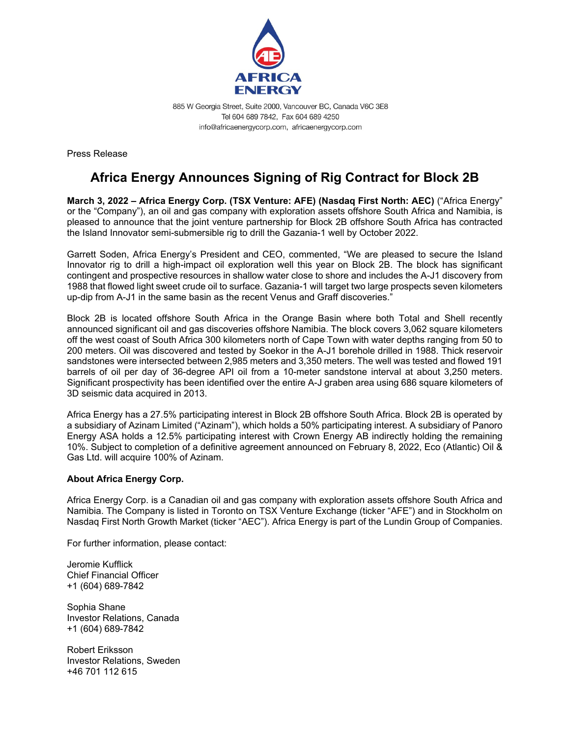

885 W Georgia Street, Suite 2000, Vancouver BC, Canada V6C 3E8 Tel 604 689 7842, Fax 604 689 4250 info@africaenergycorp.com, africaenergycorp.com

Press Release

## **Africa Energy Announces Signing of Rig Contract for Block 2B**

**March 3, 2022 – Africa Energy Corp. (TSX Venture: AFE) (Nasdaq First North: AEC)** ("Africa Energy" or the "Company"), an oil and gas company with exploration assets offshore South Africa and Namibia, is pleased to announce that the joint venture partnership for Block 2B offshore South Africa has contracted the Island Innovator semi-submersible rig to drill the Gazania-1 well by October 2022.

Garrett Soden, Africa Energy's President and CEO, commented, "We are pleased to secure the Island Innovator rig to drill a high-impact oil exploration well this year on Block 2B. The block has significant contingent and prospective resources in shallow water close to shore and includes the A-J1 discovery from 1988 that flowed light sweet crude oil to surface. Gazania-1 will target two large prospects seven kilometers up-dip from A-J1 in the same basin as the recent Venus and Graff discoveries."

Block 2B is located offshore South Africa in the Orange Basin where both Total and Shell recently announced significant oil and gas discoveries offshore Namibia. The block covers 3,062 square kilometers off the west coast of South Africa 300 kilometers north of Cape Town with water depths ranging from 50 to 200 meters. Oil was discovered and tested by Soekor in the A-J1 borehole drilled in 1988. Thick reservoir sandstones were intersected between 2,985 meters and 3,350 meters. The well was tested and flowed 191 barrels of oil per day of 36-degree API oil from a 10-meter sandstone interval at about 3,250 meters. Significant prospectivity has been identified over the entire A-J graben area using 686 square kilometers of 3D seismic data acquired in 2013.

Africa Energy has a 27.5% participating interest in Block 2B offshore South Africa. Block 2B is operated by a subsidiary of Azinam Limited ("Azinam"), which holds a 50% participating interest. A subsidiary of Panoro Energy ASA holds a 12.5% participating interest with Crown Energy AB indirectly holding the remaining 10%. Subject to completion of a definitive agreement announced on February 8, 2022, Eco (Atlantic) Oil & Gas Ltd. will acquire 100% of Azinam.

## **About Africa Energy Corp.**

Africa Energy Corp. is a Canadian oil and gas company with exploration assets offshore South Africa and Namibia. The Company is listed in Toronto on TSX Venture Exchange (ticker "AFE") and in Stockholm on Nasdaq First North Growth Market (ticker "AEC"). Africa Energy is part of the Lundin Group of Companies.

For further information, please contact:

Jeromie Kufflick Chief Financial Officer +1 (604) 689-7842

Sophia Shane Investor Relations, Canada +1 (604) 689-7842

Robert Eriksson Investor Relations, Sweden +46 701 112 615